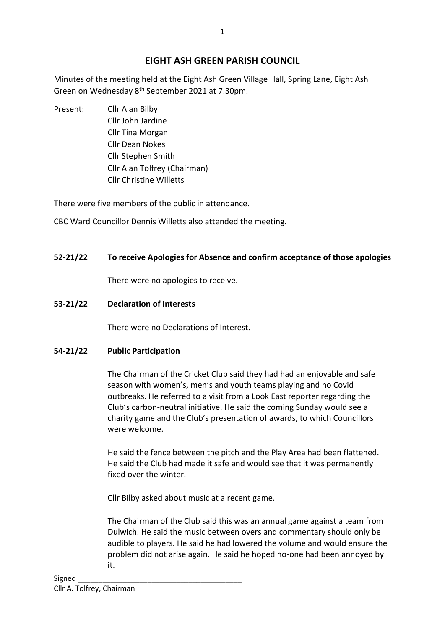# **EIGHT ASH GREEN PARISH COUNCIL**

Minutes of the meeting held at the Eight Ash Green Village Hall, Spring Lane, Eight Ash Green on Wednesday 8<sup>th</sup> September 2021 at 7.30pm.

Present: Cllr Alan Bilby Cllr John Jardine Cllr Tina Morgan Cllr Dean Nokes Cllr Stephen Smith Cllr Alan Tolfrey (Chairman) Cllr Christine Willetts

There were five members of the public in attendance.

CBC Ward Councillor Dennis Willetts also attended the meeting.

## **52-21/22 To receive Apologies for Absence and confirm acceptance of those apologies**

There were no apologies to receive.

## **53-21/22 Declaration of Interests**

There were no Declarations of Interest.

## **54-21/22 Public Participation**

The Chairman of the Cricket Club said they had had an enjoyable and safe season with women's, men's and youth teams playing and no Covid outbreaks. He referred to a visit from a Look East reporter regarding the Club's carbon-neutral initiative. He said the coming Sunday would see a charity game and the Club's presentation of awards, to which Councillors were welcome.

He said the fence between the pitch and the Play Area had been flattened. He said the Club had made it safe and would see that it was permanently fixed over the winter.

Cllr Bilby asked about music at a recent game.

The Chairman of the Club said this was an annual game against a team from Dulwich. He said the music between overs and commentary should only be audible to players. He said he had lowered the volume and would ensure the problem did not arise again. He said he hoped no-one had been annoyed by it.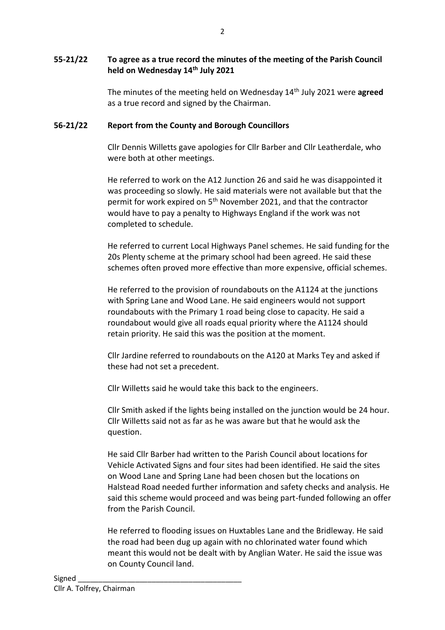## **55-21/22 To agree as a true record the minutes of the meeting of the Parish Council held on Wednesday 14th July 2021**

The minutes of the meeting held on Wednesday 14th July 2021 were **agreed**  as a true record and signed by the Chairman.

## **56-21/22 Report from the County and Borough Councillors**

Cllr Dennis Willetts gave apologies for Cllr Barber and Cllr Leatherdale, who were both at other meetings.

He referred to work on the A12 Junction 26 and said he was disappointed it was proceeding so slowly. He said materials were not available but that the permit for work expired on 5<sup>th</sup> November 2021, and that the contractor would have to pay a penalty to Highways England if the work was not completed to schedule.

He referred to current Local Highways Panel schemes. He said funding for the 20s Plenty scheme at the primary school had been agreed. He said these schemes often proved more effective than more expensive, official schemes.

He referred to the provision of roundabouts on the A1124 at the junctions with Spring Lane and Wood Lane. He said engineers would not support roundabouts with the Primary 1 road being close to capacity. He said a roundabout would give all roads equal priority where the A1124 should retain priority. He said this was the position at the moment.

Cllr Jardine referred to roundabouts on the A120 at Marks Tey and asked if these had not set a precedent.

Cllr Willetts said he would take this back to the engineers.

Cllr Smith asked if the lights being installed on the junction would be 24 hour. Cllr Willetts said not as far as he was aware but that he would ask the question.

He said Cllr Barber had written to the Parish Council about locations for Vehicle Activated Signs and four sites had been identified. He said the sites on Wood Lane and Spring Lane had been chosen but the locations on Halstead Road needed further information and safety checks and analysis. He said this scheme would proceed and was being part-funded following an offer from the Parish Council.

He referred to flooding issues on Huxtables Lane and the Bridleway. He said the road had been dug up again with no chlorinated water found which meant this would not be dealt with by Anglian Water. He said the issue was on County Council land.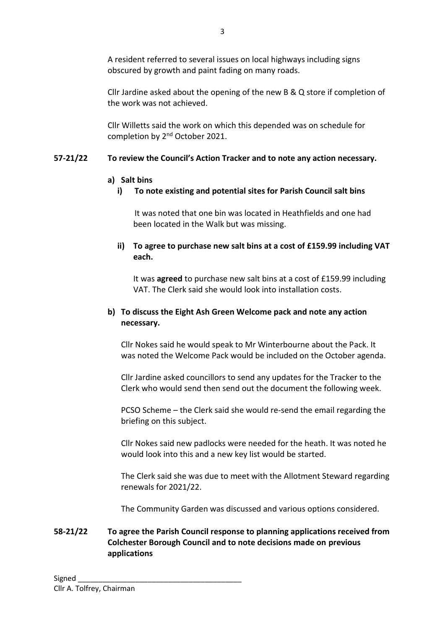A resident referred to several issues on local highways including signs obscured by growth and paint fading on many roads.

Cllr Jardine asked about the opening of the new B & Q store if completion of the work was not achieved.

Cllr Willetts said the work on which this depended was on schedule for completion by 2<sup>nd</sup> October 2021.

## **57-21/22 To review the Council's Action Tracker and to note any action necessary.**

## **a) Salt bins**

## **i) To note existing and potential sites for Parish Council salt bins**

It was noted that one bin was located in Heathfields and one had been located in the Walk but was missing.

**ii) To agree to purchase new salt bins at a cost of £159.99 including VAT each.**

It was **agreed** to purchase new salt bins at a cost of £159.99 including VAT. The Clerk said she would look into installation costs.

## **b) To discuss the Eight Ash Green Welcome pack and note any action necessary.**

Cllr Nokes said he would speak to Mr Winterbourne about the Pack. It was noted the Welcome Pack would be included on the October agenda.

Cllr Jardine asked councillors to send any updates for the Tracker to the Clerk who would send then send out the document the following week.

PCSO Scheme – the Clerk said she would re-send the email regarding the briefing on this subject.

Cllr Nokes said new padlocks were needed for the heath. It was noted he would look into this and a new key list would be started.

The Clerk said she was due to meet with the Allotment Steward regarding renewals for 2021/22.

The Community Garden was discussed and various options considered.

## **58-21/22 To agree the Parish Council response to planning applications received from Colchester Borough Council and to note decisions made on previous applications**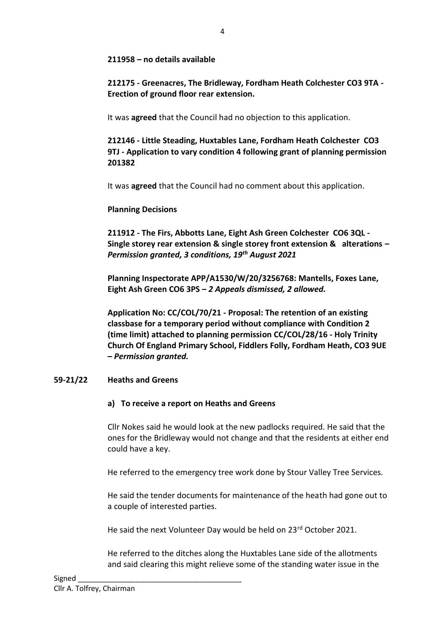#### **211958 – no details available**

**212175 - Greenacres, The Bridleway, Fordham Heath Colchester CO3 9TA - Erection of ground floor rear extension.**

It was **agreed** that the Council had no objection to this application.

**212146 - Little Steading, Huxtables Lane, Fordham Heath Colchester CO3 9TJ - Application to vary condition 4 following grant of planning permission 201382**

It was **agreed** that the Council had no comment about this application.

#### **Planning Decisions**

**211912 - The Firs, Abbotts Lane, Eight Ash Green Colchester CO6 3QL - Single storey rear extension & single storey front extension & alterations –** *Permission granted, 3 conditions, 19th August 2021*

**Planning Inspectorate APP/A1530/W/20/3256768: Mantells, Foxes Lane, Eight Ash Green CO6 3PS –** *2 Appeals dismissed, 2 allowed.*

**Application No: CC/COL/70/21 - Proposal: The retention of an existing classbase for a temporary period without compliance with Condition 2 (time limit) attached to planning permission CC/COL/28/16 - Holy Trinity Church Of England Primary School, Fiddlers Folly, Fordham Heath, CO3 9UE –** *Permission granted.*

## **59-21/22 Heaths and Greens**

#### **a) To receive a report on Heaths and Greens**

Cllr Nokes said he would look at the new padlocks required. He said that the ones for the Bridleway would not change and that the residents at either end could have a key.

He referred to the emergency tree work done by Stour Valley Tree Services.

He said the tender documents for maintenance of the heath had gone out to a couple of interested parties.

He said the next Volunteer Day would be held on 23rd October 2021.

He referred to the ditches along the Huxtables Lane side of the allotments and said clearing this might relieve some of the standing water issue in the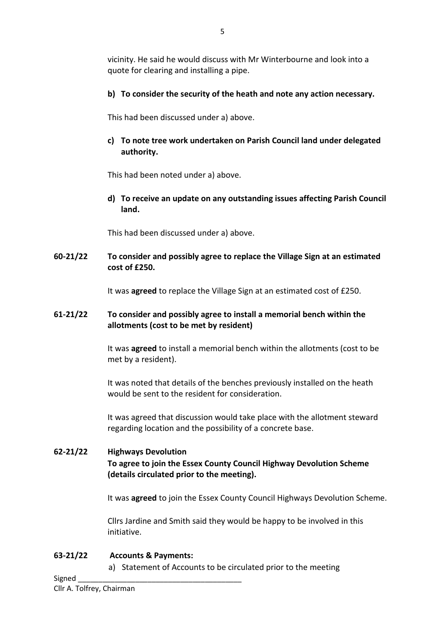vicinity. He said he would discuss with Mr Winterbourne and look into a quote for clearing and installing a pipe.

**b) To consider the security of the heath and note any action necessary.**

This had been discussed under a) above.

**c) To note tree work undertaken on Parish Council land under delegated authority.**

This had been noted under a) above.

**d) To receive an update on any outstanding issues affecting Parish Council land.**

This had been discussed under a) above.

**60-21/22 To consider and possibly agree to replace the Village Sign at an estimated cost of £250.**

It was **agreed** to replace the Village Sign at an estimated cost of £250.

## **61-21/22 To consider and possibly agree to install a memorial bench within the allotments (cost to be met by resident)**

It was **agreed** to install a memorial bench within the allotments (cost to be met by a resident).

It was noted that details of the benches previously installed on the heath would be sent to the resident for consideration.

It was agreed that discussion would take place with the allotment steward regarding location and the possibility of a concrete base.

# **62-21/22 Highways Devolution To agree to join the Essex County Council Highway Devolution Scheme (details circulated prior to the meeting).**

It was **agreed** to join the Essex County Council Highways Devolution Scheme.

Cllrs Jardine and Smith said they would be happy to be involved in this initiative.

## **63-21/22 Accounts & Payments:**

a) Statement of Accounts to be circulated prior to the meeting